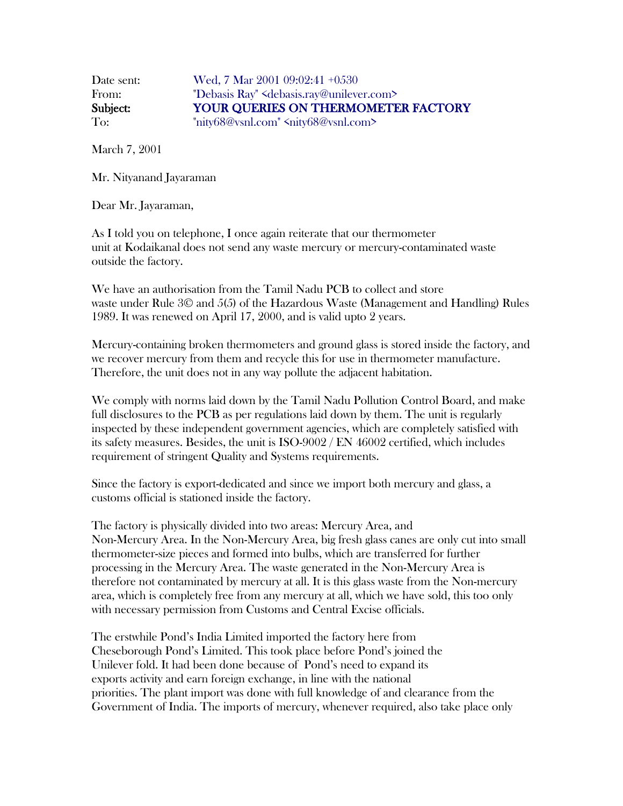Date sent: Wed, 7 Mar 2001 09:02:41 +0530 From: "Debasis Ray" <debasis.ray@unilever.com> Subject: YOUR QUERIES ON THERMOMETER FACTORY To: "nity68@vsnl.com" <nity68@vsnl.com>

March 7, 2001

Mr. Nityanand Jayaraman

Dear Mr. Jayaraman,

As I told you on telephone, I once again reiterate that our thermometer unit at Kodaikanal does not send any waste mercury or mercury-contaminated waste outside the factory.

We have an authorisation from the Tamil Nadu PCB to collect and store waste under Rule 3© and 5(5) of the Hazardous Waste (Management and Handling) Rules 1989. It was renewed on April 17, 2000, and is valid upto 2 years.

Mercury-containing broken thermometers and ground glass is stored inside the factory, and we recover mercury from them and recycle this for use in thermometer manufacture. Therefore, the unit does not in any way pollute the adjacent habitation.

We comply with norms laid down by the Tamil Nadu Pollution Control Board, and make full disclosures to the PCB as per regulations laid down by them. The unit is regularly inspected by these independent government agencies, which are completely satisfied with its safety measures. Besides, the unit is ISO-9002 / EN 46002 certified, which includes requirement of stringent Quality and Systems requirements.

Since the factory is export-dedicated and since we import both mercury and glass, a customs official is stationed inside the factory.

The factory is physically divided into two areas: Mercury Area, and Non-Mercury Area. In the Non-Mercury Area, big fresh glass canes are only cut into small thermometer-size pieces and formed into bulbs, which are transferred for further processing in the Mercury Area. The waste generated in the Non-Mercury Area is therefore not contaminated by mercury at all. It is this glass waste from the Non-mercury area, which is completely free from any mercury at all, which we have sold, this too only with necessary permission from Customs and Central Excise officials.

The erstwhile Pond's India Limited imported the factory here from Cheseborough Pond's Limited. This took place before Pond's joined the Unilever fold. It had been done because of Pond's need to expand its exports activity and earn foreign exchange, in line with the national priorities. The plant import was done with full knowledge of and clearance from the Government of India. The imports of mercury, whenever required, also take place only